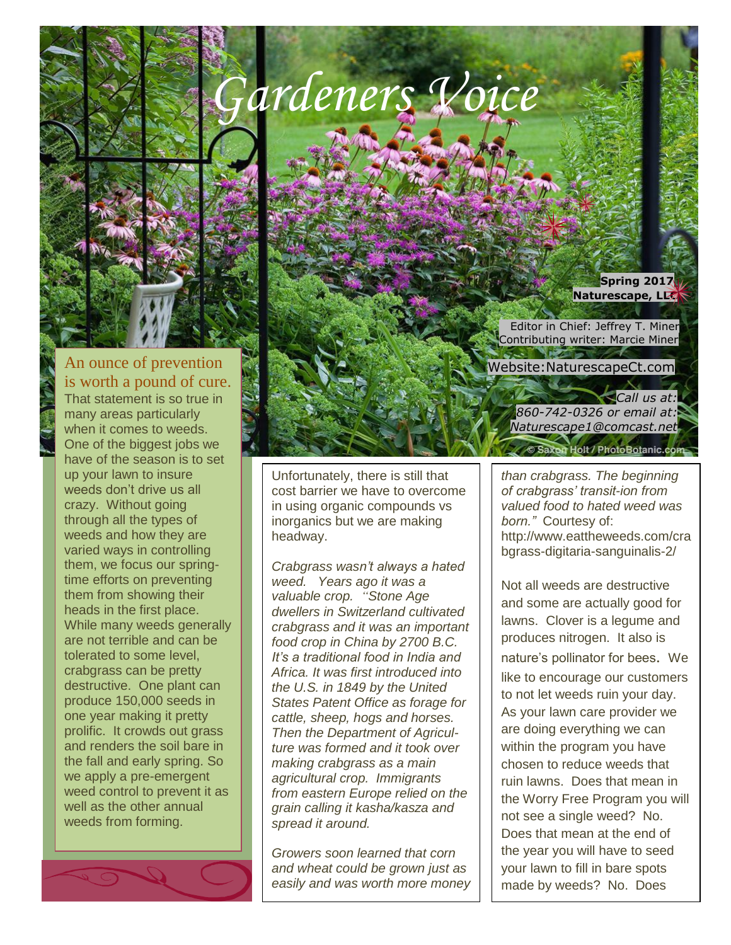

An ounce of prevention is worth a pound of cure. That statement is so true in many areas particularly when it comes to weeds. One of the biggest jobs we have of the season is to set up your lawn to insure weeds don't drive us all crazy. Without going through all the types of weeds and how they are varied ways in controlling them, we focus our springtime efforts on preventing them from showing their heads in the first place. While many weeds generally are not terrible and can be tolerated to some level, crabgrass can be pretty destructive. One plant can produce 150,000 seeds in one year making it pretty prolific. It crowds out grass and renders the soil bare in the fall and early spring. So we apply a pre-emergent

weed control to prevent it as well as the other annual weeds from forming.

Unfortunately, there is still that cost barrier we have to overcome in using organic compounds vs inorganics but we are making headway.

*Newsletter*

*Crabgrass wasn't always a hated weed. Years ago it was a valuable crop. "Stone Age dwellers in Switzerland cultivated crabgrass and it was an important food crop in China by 2700 B.C. It's a traditional food in India and Africa. It was first introduced into the U.S. in 1849 by the United States Patent Office as forage for cattle, sheep, hogs and horses. Then the Department of Agriculture was formed and it took over making crabgrass as a main agricultural crop. Immigrants from eastern Europe relied on the grain calling it kasha/kasza and spread it around.* 

*Growers soon learned that corn and wheat could be grown just as easily and was worth more money* 

**Spring 2017 Naturescape, LLC**

 Editor in Chief: Jeffrey T. Miner Contributing writer: Marcie Miner

Website:NaturescapeCt.com

*Call us at: 860-742-0326 or email at: Naturescape1@comcast.net* **Holt / PhotoBotanic.com** 

*than crabgrass. The beginning of crabgrass' transit-ion from valued food to hated weed was born."* Courtesy of: http://www.eattheweeds.com/cra bgrass-digitaria-sanguinalis-2/

Not all weeds are destructive and some are actually good for lawns. Clover is a legume and produces nitrogen. It also is nature's pollinator for bees. We like to encourage our customers to not let weeds ruin your day. As your lawn care provider we are doing everything we can within the program you have chosen to reduce weeds that ruin lawns. Does that mean in the Worry Free Program you will not see a single weed? No. Does that mean at the end of the year you will have to seed your lawn to fill in bare spots made by weeds? No. Does